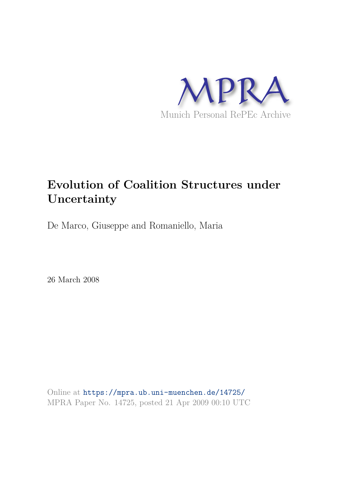

# **Evolution of Coalition Structures under Uncertainty**

De Marco, Giuseppe and Romaniello, Maria

26 March 2008

Online at https://mpra.ub.uni-muenchen.de/14725/ MPRA Paper No. 14725, posted 21 Apr 2009 00:10 UTC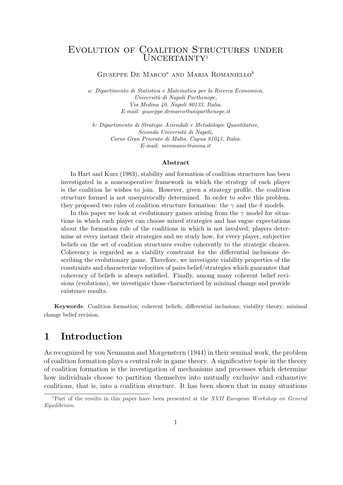### Evolution of Coalition Structures under  $UNCERTAINTY<sup>1</sup>$

GIUSEPPE DE MARCO<sup>a</sup> AND MARIA ROMANIELLO<sup>b</sup>

*a: Dipartimento di Statistica e Matematica per la Ricerca Economica, Universit`a di Napoli Parthenope, Via Medina 40, Napoli 80133, Italia. E-mail: giuseppe.demarco@uniparthenope.it*

*b: Dipartimento di Strategie Aziendali e Metodologie Quantitative, Seconda Universit`a di Napoli, Corso Gran Priorato di Malta, Capua 81043, Italia. E-mail: mromanie@unina.it*

#### Abstract

In Hart and Kurz (1983), stability and formation of coalition structures has been investigated in a noncooperative framework in which the strategy of each player is the coalition he wishes to join. However, given a strategy profile, the coalition structure formed is not unequivocally determined. In order to solve this problem, they proposed two rules of coalition structure formation: the  $\gamma$  and the  $\delta$  models.

In this paper we look at evolutionary games arising from the  $\gamma$  model for situations in which each player can choose mixed strategies and has vague expectations about the formation rule of the coalitions in which is not involved; players determine at every instant their strategies and we study how, for every player, subjective beliefs on the set of coalition structures evolve coherently to the strategic choices. Coherency is regarded as a viability constraint for the differential inclusions describing the evolutionary game. Therefore, we investigate viability properties of the constraints and characterize velocities of pairs belief/strategies which guarantee that coherency of beliefs is always satisfied. Finally, among many coherent belief revisions (evolutions), we investigate those characterized by minimal change and provide existence results.

Keywords: Coalition formation; coherent beliefs; differential inclusions; viability theory; minimal change belief revision.

# 1 Introduction

As recognized by von Neumann and Morgenstern (1944) in their seminal work, the problem of coalition formation plays a central role in game theory. A significative topic in the theory of coalition formation is the investigation of mechanisms and processes which determine how individuals choose to partition themselves into mutually exclusive and exhaustive coalitions, that is, into a coalition structure. It has been shown that in many situations

<sup>1</sup>Part of the results in this paper have been presented at the *XVII European Workshop on General Equilibrium.*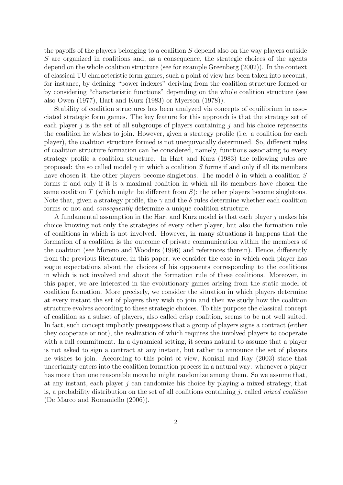the payoffs of the players belonging to a coalition S depend also on the way players outside S are organized in coalitions and, as a consequence, the strategic choices of the agents depend on the whole coalition structure (see for example Greenberg (2002)). In the context of classical TU characteristic form games, such a point of view has been taken into account, for instance, by defining "power indexes" deriving from the coalition structure formed or by considering "characteristic functions" depending on the whole coalition structure (see also Owen (1977), Hart and Kurz (1983) or Myerson (1978)).

Stability of coalition structures has been analyzed via concepts of equilibrium in associated strategic form games. The key feature for this approach is that the strategy set of each player j is the set of all subgroups of players containing j and his choice represents the coalition he wishes to join. However, given a strategy profile (i.e. a coalition for each player), the coalition structure formed is not unequivocally determined. So, different rules of coalition structure formation can be considered, namely, functions associating to every strategy profile a coalition structure. In Hart and Kurz (1983) the following rules are proposed: the so called model  $\gamma$  in which a coalition S forms if and only if all its members have chosen it; the other players become singletons. The model  $\delta$  in which a coalition S forms if and only if it is a maximal coalition in which all its members have chosen the same coalition  $T$  (which might be different from  $S$ ); the other players become singletons. Note that, given a strategy profile, the  $\gamma$  and the  $\delta$  rules determine whether each coalition forms or not and consequently determine a unique coalition structure.

A fundamental assumption in the Hart and Kurz model is that each player j makes his choice knowing not only the strategies of every other player, but also the formation rule of coalitions in which is not involved. However, in many situations it happens that the formation of a coalition is the outcome of private communication within the members of the coalition (see Moreno and Wooders (1996) and references therein). Hence, differently from the previous literature, in this paper, we consider the case in which each player has vague expectations about the choices of his opponents corresponding to the coalitions in which is not involved and about the formation rule of these coalitions. Moreover, in this paper, we are interested in the evolutionary games arising from the static model of coalition formation. More precisely, we consider the situation in which players determine at every instant the set of players they wish to join and then we study how the coalition structure evolves according to these strategic choices. To this purpose the classical concept of coalition as a subset of players, also called crisp coalition, seems to be not well suited. In fact, such concept implicitly presupposes that a group of players signs a contract (either they cooperate or not), the realization of which requires the involved players to cooperate with a full commitment. In a dynamical setting, it seems natural to assume that a player is not asked to sign a contract at any instant, but rather to announce the set of players he wishes to join. According to this point of view, Konishi and Ray (2003) state that uncertainty enters into the coalition formation process in a natural way: whenever a player has more than one reasonable move he might randomize among them. So we assume that, at any instant, each player  $j$  can randomize his choice by playing a mixed strategy, that is, a probability distribution on the set of all coalitions containing  $j$ , called mixed coalition (De Marco and Romaniello (2006)).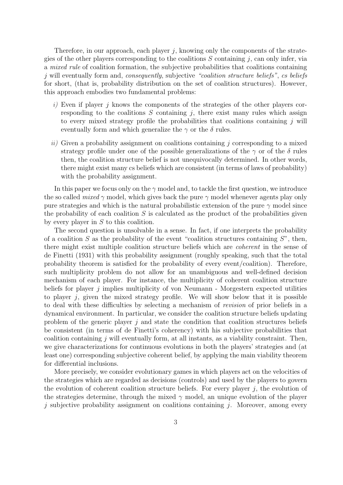Therefore, in our approach, each player  $j$ , knowing only the components of the strategies of the other players corresponding to the coalitions  $S$  containing j, can only infer, via a mixed rule of coalition formation, the subjective probabilities that coalitions containing j will eventually form and, consequently, subjective "coalition structure beliefs", cs beliefs for short, (that is, probability distribution on the set of coalition structures). However, this approach embodies two fundamental problems:

- i) Even if player j knows the components of the strategies of the other players corresponding to the coalitions  $S$  containing  $j$ , there exist many rules which assign to every mixed strategy profile the probabilities that coalitions containing  $j$  will eventually form and which generalize the  $\gamma$  or the  $\delta$  rules.
- ii) Given a probability assignment on coalitions containing j corresponding to a mixed strategy profile under one of the possible generalizations of the  $\gamma$  or of the  $\delta$  rules then, the coalition structure belief is not unequivocally determined. In other words, there might exist many cs beliefs which are consistent (in terms of laws of probability) with the probability assignment.

In this paper we focus only on the  $\gamma$  model and, to tackle the first question, we introduce the so called *mixed*  $\gamma$  model, which gives back the pure  $\gamma$  model whenever agents play only pure strategies and which is the natural probabilistic extension of the pure  $\gamma$  model since the probability of each coalition  $S$  is calculated as the product of the probabilities given by every player in  $S$  to this coalition.

The second question is unsolvable in a sense. In fact, if one interprets the probability of a coalition S as the probability of the event "coalition structures containing  $S$ ", then, there might exist multiple coalition structure beliefs which are coherent in the sense of de Finetti (1931) with this probability assignment (roughly speaking, such that the total probability theorem is satisfied for the probability of every event/coalition). Therefore, such multiplicity problem do not allow for an unambiguous and well-defined decision mechanism of each player. For instance, the multiplicity of coherent coalition structure beliefs for player  $j$  implies multiplicity of von Neumann - Morgestern expected utilities to player  $j$ , given the mixed strategy profile. We will show below that it is possible to deal with these difficulties by selecting a mechanism of revision of prior beliefs in a dynamical environment. In particular, we consider the coalition structure beliefs updating problem of the generic player  $j$  and state the condition that coalition structures beliefs be consistent (in terms of de Finetti's coherency) with his subjective probabilities that coalition containing  $j$  will eventually form, at all instants, as a viability constraint. Then, we give characterizations for continuous evolutions in both the players' strategies and (at least one) corresponding subjective coherent belief, by applying the main viability theorem for differential inclusions.

More precisely, we consider evolutionary games in which players act on the velocities of the strategies which are regarded as decisions (controls) and used by the players to govern the evolution of coherent coalition structure beliefs. For every player  $j$ , the evolution of the strategies determine, through the mixed  $\gamma$  model, an unique evolution of the player j subjective probability assignment on coalitions containing j. Moreover, among every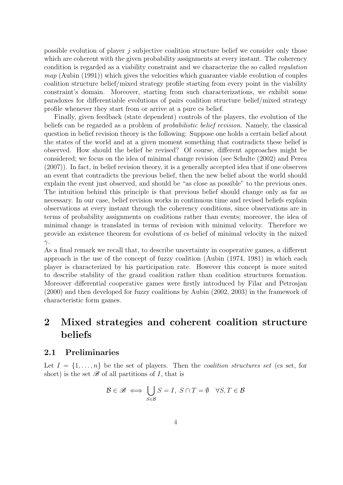possible evolution of player  $j$  subjective coalition structure belief we consider only those which are coherent with the given probability assignments at every instant. The coherency condition is regarded as a viability constraint and we characterize the so called regulation  $map$  (Aubin (1991)) which gives the velocities which guarantee viable evolution of couples coalition structure belief/mixed strategy profile starting from every point in the viability constraint's domain. Moreover, starting from such characterizations, we exhibit some paradoxes for differentiable evolutions of pairs coalition structure belief/mixed strategy profile whenever they start from or arrive at a pure cs belief.

Finally, given feedback (state dependent) controls of the players, the evolution of the beliefs can be regarded as a problem of probabilistic belief revision. Namely, the classical question in belief revision theory is the following: Suppose one holds a certain belief about the states of the world and at a given moment something that contradicts these belief is observed. How should the belief be revised? Of course, different approaches might be considered; we focus on the idea of minimal change revision (see Schulte (2002) and Perea (2007)). In fact, in belief revision theory, it is a generally accepted idea that if one observes an event that contradicts the previous belief, then the new belief about the world should explain the event just observed, and should be "as close as possible" to the previous ones. The intuition behind this principle is that previous belief should change only as far as necessary. In our case, belief revision works in continuous time and revised beliefs explain observations at every instant through the coherency conditions, since observations are in terms of probability assignments on coalitions rather than events; moreover, the idea of minimal change is translated in terms of revision with minimal velocity. Therefore we provide an existence theorem for evolutions of cs belief of minimal velocity in the mixed  $γ$ .

As a final remark we recall that, to describe uncertainty in cooperative games, a different approach is the use of the concept of fuzzy coalition (Aubin (1974, 1981) in which each player is characterized by his participation rate. However this concept is more suited to describe stability of the grand coalition rather than coalition structures formation. Moreover differential cooperative games were firstly introduced by Filar and Petrosjan (2000) and then developed for fuzzy coalitions by Aubin (2002, 2003) in the framework of characteristic form games.

# 2 Mixed strategies and coherent coalition structure beliefs

#### 2.1 Preliminaries

Let  $I = \{1, \ldots, n\}$  be the set of players. Then the *coalition structures set* (cs set, for short) is the set  $\mathscr{B}$  of all partitions of I, that is

$$
\mathcal{B} \in \mathcal{B} \iff \bigcup_{S \in \mathcal{B}} S = I, \ S \cap T = \emptyset \quad \forall S, T \in \mathcal{B}
$$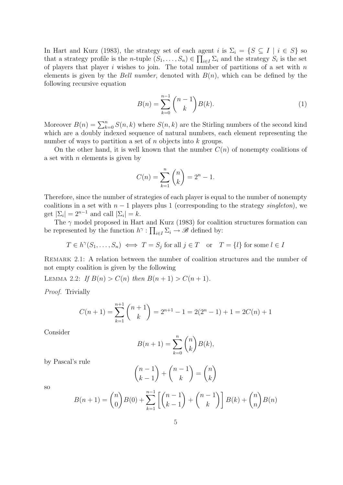In Hart and Kurz (1983), the strategy set of each agent i is  $\Sigma_i = \{S \subseteq I \mid i \in S\}$  so that a strategy profile is the *n*-tuple  $(S_1, \ldots, S_n) \in \prod_{i \in I} \Sigma_i$  and the strategy  $S_i$  is the set of players that player i wishes to join. The total number of partitions of a set with  $n$ elements is given by the *Bell number*, denoted with  $B(n)$ , which can be defined by the following recursive equation

$$
B(n) = \sum_{k=0}^{n-1} {n-1 \choose k} B(k).
$$
 (1)

Moreover  $B(n) = \sum_{k=0}^{n} S(n,k)$  where  $S(n,k)$  are the Stirling numbers of the second kind which are a doubly indexed sequence of natural numbers, each element representing the number of ways to partition a set of *n* objects into *k* groups.

On the other hand, it is well known that the number  $C(n)$  of nonempty coalitions of a set with  $n$  elements is given by

$$
C(n) = \sum_{k=1}^{n} {n \choose k} = 2^{n} - 1.
$$

Therefore, since the number of strategies of each player is equal to the number of nonempty coalitions in a set with  $n-1$  players plus 1 (corresponding to the strategy *singleton*), we get  $|\Sigma_i| = 2^{n-1}$  and call  $|\Sigma_i| = k$ .

The  $\gamma$  model proposed in Hart and Kurz (1983) for coalition structures formation can be represented by the function  $h^{\gamma} : \prod_{i \in I} \Sigma_i \to \mathscr{B}$  defined by:

$$
T \in h^{\gamma}(S_1, ..., S_n) \iff T = S_j \text{ for all } j \in T \text{ or } T = \{l\} \text{ for some } l \in I
$$

Remark 2.1: A relation between the number of coalition structures and the number of not empty coalition is given by the following

LEMMA 2.2: If  $B(n) > C(n)$  then  $B(n + 1) > C(n + 1)$ .

Proof. Trivially

$$
C(n+1) = \sum_{k=1}^{n+1} {n+1 \choose k} = 2^{n+1} - 1 = 2(2^n - 1) + 1 = 2C(n) + 1
$$

Consider

$$
B(n+1) = \sum_{k=0}^{n} \binom{n}{k} B(k),
$$

by Pascal's rule

$$
\binom{n-1}{k-1} + \binom{n-1}{k} = \binom{n}{k}
$$

so

$$
B(n+1) = {n \choose 0}B(0) + \sum_{k=1}^{n-1} \left[ {n-1 \choose k-1} + {n-1 \choose k} \right]B(k) + {n \choose n}B(n)
$$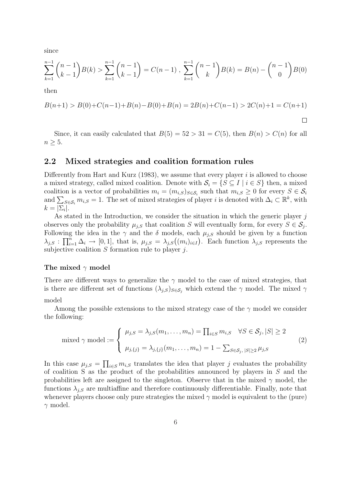since

$$
\sum_{k=1}^{n-1} {n-1 \choose k-1} B(k) > \sum_{k=1}^{n-1} {n-1 \choose k-1} = C(n-1) , \sum_{k=1}^{n-1} {n-1 \choose k} B(k) = B(n) - {n-1 \choose 0} B(0)
$$

then

$$
B(n+1) > B(0) + C(n-1) + B(n) - B(0) + B(n) = 2B(n) + C(n-1) > 2C(n) + 1 = C(n+1)
$$

Since, it can easily calculated that  $B(5) = 52 > 31 = C(5)$ , then  $B(n) > C(n)$  for all  $n \geq 5$ .

#### 2.2 Mixed strategies and coalition formation rules

Differently from Hart and Kurz  $(1983)$ , we assume that every player i is allowed to choose a mixed strategy, called mixed coalition. Denote with  $S_i = \{S \subseteq I \mid i \in S\}$  then, a mixed coalition is a vector of probabilities  $m_i = (m_{i,S})_{S \in S_i}$  such that  $m_{i,S} \geq 0$  for every  $S \in S_i$ and  $\sum_{S \in \mathcal{S}_i} m_{i,S} = 1$ . The set of mixed strategies of player i is denoted with  $\Delta_i \subset \mathbb{R}^k$ , with  $k = |\Sigma_i|.$ 

As stated in the Introduction, we consider the situation in which the generic player  $j$ observes only the probability  $\mu_{j,S}$  that coalition S will eventually form, for every  $S \in \mathcal{S}_j$ . Following the idea in the  $\gamma$  and the  $\delta$  models, each  $\mu_{i,S}$  should be given by a function  $\lambda_{j,S}$ :  $\prod_{i=1}^n \Delta_i \to [0,1]$ , that is,  $\mu_{j,S} = \lambda_{j,S}((m_i)_{i \in I})$ . Each function  $\lambda_{j,S}$  represents the subjective coalition  $S$  formation rule to player  $j$ .

#### The mixed  $\gamma$  model

There are different ways to generalize the  $\gamma$  model to the case of mixed strategies, that is there are different set of functions  $(\lambda_{i,S})_{S\in\mathcal{S}_i}$  which extend the  $\gamma$  model. The mixed  $\gamma$ 

#### model

Among the possible extensions to the mixed strategy case of the  $\gamma$  model we consider the following:

$$
\text{mixed } \gamma \text{ model} := \begin{cases} \mu_{j,S} = \lambda_{j,S}(m_1, \dots, m_n) = \prod_{i \in S} m_{i,S} & \forall S \in \mathcal{S}_j, |S| \ge 2 \\ \mu_{j,\{j\}} = \lambda_{j,\{j\}}(m_1, \dots, m_n) = 1 - \sum_{S \in \mathcal{S}_j, |S| \ge 2} \mu_{j,S} \end{cases} \tag{2}
$$

In this case  $\mu_{j,S} = \prod_{i \in S} m_{i,S}$  translates the idea that player j evaluates the probability of coalition S as the product of the probabilities announced by players in S and the probabilities left are assigned to the singleton. Observe that in the mixed  $\gamma$  model, the functions  $\lambda_{i,S}$  are multiaffine and therefore continuously differentiable. Finally, note that whenever players choose only pure strategies the mixed  $\gamma$  model is equivalent to the (pure)  $\gamma$  model.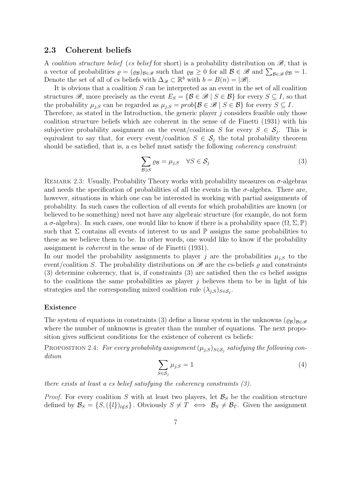#### 2.3 Coherent beliefs

A coalition structure belief (cs belief for short) is a probability distribution on  $\mathscr{B}$ , that is a vector of probabilities  $\varrho = (\varrho_B)_{B \in \mathscr{B}}$  such that  $\varrho_B \geq 0$  for all  $\mathcal{B} \in \mathscr{B}$  and  $\sum_{B \in \mathscr{B}} \varrho_B = 1$ . Denote the set of all of cs beliefs with  $\Delta_{\mathscr{B}} \subset \mathbb{R}^b$  with  $b = B(n) = |\mathscr{B}|$ .

It is obvious that a coalition  $S$  can be interpreted as an event in the set of all coalition structures B, more precisely as the event  $E_S = \{ \mathcal{B} \in \mathcal{B} \mid S \in \mathcal{B} \}$  for every  $S \subseteq I$ , so that the probability  $\mu_{j,S}$  can be regarded as  $\mu_{j,S} = prob\{\mathcal{B} \in \mathcal{B} \mid S \in \mathcal{B}\}$  for every  $S \subseteq I$ .

Therefore, as stated in the Introduction, the generic player  $j$  considers feasible only those coalition structure beliefs which are coherent in the sense of de Finetti (1931) with his subjective probability assignment on the event/coalition S for every  $S \in \mathcal{S}_j$ . This is equivalent to say that, for every event/coalition  $S \in \mathcal{S}_j$  the total probability theorem should be satisfied, that is, a cs belief must satisfy the following coherency constraint:

$$
\sum_{\mathcal{B}\ni S} \varrho_{\mathcal{B}} = \mu_{j,S} \quad \forall S \in \mathcal{S}_j \tag{3}
$$

REMARK 2.3: Usually, Probability Theory works with probability measures on  $\sigma$ -algebras and needs the specification of probabilities of all the events in the  $\sigma$ -algebra. There are, however, situations in which one can be interested in working with partial assignments of probability. In such cases the collection of all events for which probabilities are known (or believed to be something) need not have any algebraic structure (for example, do not form a  $\sigma$ -algebra). In such cases, one would like to know if there is a probability space  $(\Omega, \Sigma, \mathbb{P})$ such that  $\Sigma$  contains all events of interest to us and  $\mathbb P$  assigns the same probabilities to these as we believe them to be. In other words, one would like to know if the probability assignment is coherent in the sense of de Finetti (1931).

In our model the probability assignments to player j are the probabilities  $\mu_{i,S}$  to the event/coalition S. The probability distributions on  $\mathscr B$  are the cs-beliefs  $\varrho$  and constraints (3) determine coherency, that is, if constraints (3) are satisfied then the cs belief assigns to the coalitions the same probabilities as player  $j$  believes them to be in light of his strategies and the corresponding mixed coalition rule  $(\lambda_{j,S})_{S \in \mathcal{S}_j}$ .

#### Existence

The system of equations in constraints (3) define a linear system in the unknowns  $(\rho_B)_{B\in\mathscr{B}}$ where the number of unknowns is greater than the number of equations. The next proposition gives sufficient conditions for the existence of coherent cs beliefs:

PROPOSITION 2.4: For every probability assignment  $(\mu_{j,S})_{S \in \mathcal{S}_j}$  satisfying the following condition

$$
\sum_{S \in \mathcal{S}_j} \mu_{j,S} = 1 \tag{4}
$$

there exists at least a cs belief satisfying the coherency constraints (3).

*Proof.* For every coalition S with at least two players, let  $\mathcal{B}_S$  be the coalition structure defined by  $\mathcal{B}_S = \{S, (\{l\})_{l \notin S}\}\$ . Obviously  $S \neq T \iff \mathcal{B}_S \neq \mathcal{B}_T$ . Given the assignment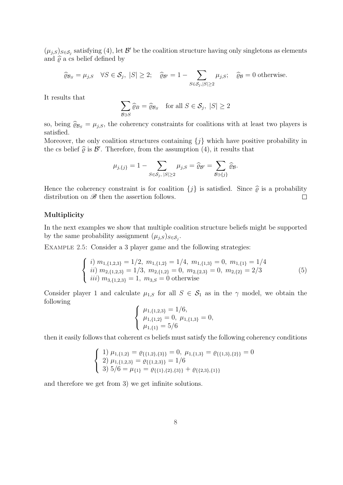$(\mu_{j,S})_{S \in \mathcal{S}_j}$  satisfying (4), let  $\mathcal{B}'$  be the coalition structure having only singletons as elements and  $\hat{\rho}$  a cs belief defined by

$$
\widehat{\varrho}_{\mathcal{B}_S} = \mu_{j,S} \quad \forall S \in \mathcal{S}_j, |S| \geq 2; \quad \widehat{\varrho}_{\mathcal{B}'} = 1 - \sum_{S \in \mathcal{S}_j, |S| \geq 2} \mu_{j,S}; \quad \widehat{\varrho}_{\mathcal{B}} = 0 \text{ otherwise.}
$$

It results that

$$
\sum_{\mathcal{B}\ni S} \widehat{\varrho}_{B} = \widehat{\varrho}_{\mathcal{B}_{S}} \quad \text{for all } S \in \mathcal{S}_{j}, \ |S| \ge 2
$$

so, being  $\hat{\varrho}_{\mathcal{B}_S} = \mu_{j,S}$ , the coherency constraints for coalitions with at least two players is satisfied.

Moreover, the only coalition structures containing  $\{j\}$  which have positive probability in the cs belief  $\widehat{\varrho}$  is  $\mathcal{B}'$ . Therefore, from the assumption (4), it results that

$$
\mu_{j,\{j\}}=1-\sum_{S\in\mathcal{S}_j,\,|S|\geq 2}\mu_{j,S}=\widehat{\varrho}_{\mathcal{B}'}=\sum_{\mathcal{B}\ni\{j\}}\widehat{\varrho}_{\mathcal{B}}.
$$

Hence the coherency constraint is for coalition  $\{j\}$  is satisfied. Since  $\hat{\varrho}$  is a probability distribution on  $\mathscr{B}$  then the assertion follows. distribution on  $\mathscr{B}$  then the assertion follows.

#### Multiplicity

In the next examples we show that multiple coalition structure beliefs might be supported by the same probability assignment  $(\mu_{j,S})_{S \in \mathcal{S}_j}$ .

EXAMPLE 2.5: Consider a 3 player game and the following strategies:

$$
\begin{cases}\ni m_{1,\{1,2,3\}} = 1/2, \ m_{1,\{1,2\}} = 1/4, \ m_{1,\{1,3\}} = 0, \ m_{1,\{1\}} = 1/4 \\
ii) \ m_{2,\{1,2,3\}} = 1/3, \ m_{2,\{1,2\}} = 0, \ m_{2,\{2,3\}} = 0, \ m_{2,\{2\}} = 2/3 \\
iii) \ m_{3,\{1,2,3\}} = 1, \ m_{3,S} = 0 \text{ otherwise}\n\end{cases}
$$
\n(5)

Consider player 1 and calculate  $\mu_{1,S}$  for all  $S \in S_1$  as in the  $\gamma$  model, we obtain the following

$$
\begin{cases} \mu_{1,\{1,2,3\}}=1/6, \\ \mu_{1,\{1,2\}}=0, \ \mu_{1,\{1,3\}}=0, \\ \mu_{1,\{1\}}=5/6 \end{cases}
$$

then it easily follows that coherent cs beliefs must satisfy the following coherency conditions

$$
\begin{cases}\n1) \ \mu_{1,\{1,2\}} = \varrho_{\{\{1,2\},\{3\\}} = 0, \ \mu_{1,\{1,3\}} = \varrho_{\{\{1,3\},\{2\}\}} = 0 \\
2) \ \mu_{1,\{1,2,3\}} = \varrho_{\{\{1,2,3\}\}} = 1/6 \\
3) \ 5/6 = \mu_{\{1\}} = \varrho_{\{\{1\},\{2\},\{3\}\}} + \varrho_{\{\{2,3\},\{1\}\}}\n\end{cases}
$$

and therefore we get from 3) we get infinite solutions.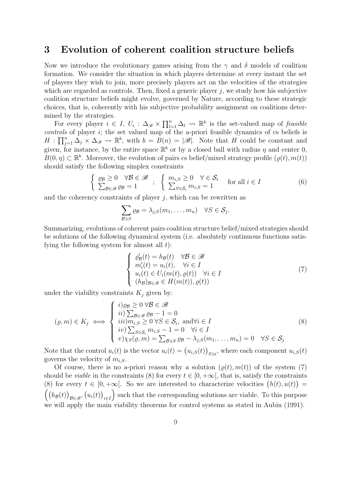### 3 Evolution of coherent coalition structure beliefs

Now we introduce the evolutionary games arising from the  $\gamma$  and  $\delta$  models of coalition formation. We consider the situation in which players determine at every instant the set of players they wish to join, more precisely players act on the velocities of the strategies which are regarded as controls. Then, fixed a generic player  $j$ , we study how his subjective coalition structure beliefs might evolve, governed by Nature, according to these strategic choices, that is, coherently with his subjective probability assignment on coalitions determined by the strategies.

For every player  $i \in I$ ,  $U_i$ :  $\Delta_{\mathscr{B}} \times \prod_{l=1}^n \Delta_l \leadsto \mathbb{R}^k$  is the set-valued map of *feasible*  $controls$  of player  $i$ ; the set valued map of the a-priori feasible dynamics of cs beliefs is  $H: \prod_{j=1}^n \Delta_j \times \Delta_{\mathscr{B}} \leadsto \mathbb{R}^b$ , with  $b = B(n) = |\mathscr{B}|$ . Note that H could be constant and given, for instance, by the entire space  $\mathbb{R}^b$  or by a closed ball with radius  $\eta$  and center 0,  $B(0, \eta) \subset \mathbb{R}^b$ . Moreover, the evolution of pairs cs belief/mixed strategy profile  $(\varrho(t), m(t))$ should satisfy the following simplex constraints

$$
\begin{cases} \n\varrho_{\mathcal{B}} \geq 0 \quad \forall \mathcal{B} \in \mathcal{B} \\ \n\sum_{\mathcal{B} \in \mathcal{B}} \varrho_{\mathcal{B}} = 1 \n\end{cases} ; \quad\n\begin{cases} \n m_{i,S} \geq 0 \quad \forall \in \mathcal{S}_{i} \\ \n\sum_{S \in \mathcal{S}_{i}} m_{i,S} = 1 \n\end{cases} \quad \text{for all } i \in I \n\tag{6}
$$

and the coherency constraints of player  $j$ , which can be rewritten as

$$
\sum_{\mathcal{B}\ni S}\varrho_{\mathcal{B}}=\lambda_{j,S}(m_1,\ldots,m_n)\quad\forall S\in\mathcal{S}_j.
$$

Summarizing, evolutions of coherent pairs coalition structure belief/mixed strategies should be solutions of the following dynamical system (i.e. absolutely continuous functions satisfying the following system for almost all  $t$ :

$$
\begin{cases}\n\varrho'_{\mathcal{B}}(t) = h_{\mathcal{B}}(t) & \forall \mathcal{B} \in \mathcal{B} \\
m'_{i}(t) = u_{i}(t), & \forall i \in I \\
u_{i}(t) \in U_{i}(m(t), \varrho(t)) & \forall i \in I \\
(h_{\mathcal{B}})_{\mathcal{B} \in \mathcal{B}} \in H(m(t)), \varrho(t))\n\end{cases} (7)
$$

under the viability constraints  $K_i$  given by:

$$
\varrho, m) \in K_j \iff \begin{cases} i) \varrho_B \ge 0 \ \forall \mathcal{B} \in \mathcal{B} \\ ii) \sum_{\mathcal{B} \in \mathcal{B}} \varrho_B - 1 = 0 \\ iii) m_{i, S} \ge 0 \ \forall S \in \mathcal{S}_i, \text{ and } \forall i \in I \\ iv) \sum_{S \in \mathcal{S}_i} m_{i, S} - 1 = 0 \quad \forall i \in I \\ v) \chi_S(\varrho, m) = \sum_{\mathcal{B} \ni S} \varrho_B - \lambda_{j, S}(m_1, \dots, m_n) = 0 \quad \forall S \in \mathcal{S}_j \end{cases}
$$
 (8)

Note that the control  $u_i(t)$  is the vector  $u_i(t) = (u_{i,S}(t))_{S \ni i}$ , where each component  $u_{i,S}(t)$ governs the velocity of  $m_{i,S}$ .

Of course, there is no a-priori reason why a solution  $(\varrho(t),m(t))$  of the system (7) should be *viable* in the constraints (8) for every  $t \in [0, +\infty]$ , that is, satisfy the constraints (8) for every  $t \in [0, +\infty]$ . So we are interested to characterize velocities  $(h(t), u(t)) =$  $((h_{\mathcal{B}}(t))_{\mathcal{B}\in\mathscr{B}},(u_i(t))_{i\in I})$ ) such that the corresponding solutions are viable. To this purpose we will apply the main viability theorems for control systems as stated in Aubin (1991).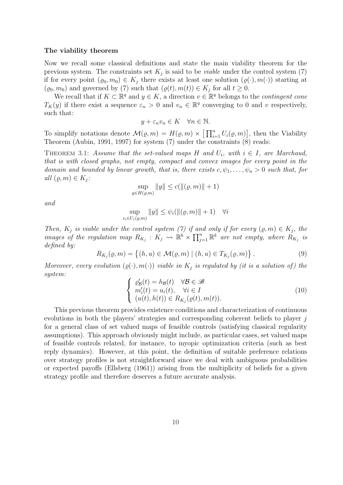#### The viability theorem

Now we recall some classical definitions and state the main viability theorem for the previous system. The constraints set  $K_j$  is said to be *viable* under the control system  $(7)$ if for every point  $(\varrho_0, m_0) \in K_j$  there exists at least one solution  $(\varrho(\cdot), m(\cdot))$  starting at  $(\varrho_0, m_0)$  and governed by (7) such that  $(\varrho(t), m(t)) \in K_j$  for all  $t \geq 0$ .

We recall that if  $K \subset \mathbb{R}^q$  and  $y \in K$ , a direction  $v \in \mathbb{R}^q$  belongs to the *contingent cone*  $T_K(y)$  if there exist a sequence  $\varepsilon_n > 0$  and  $v_n \in \mathbb{R}^q$  converging to 0 and v respectively, such that:

$$
y + \varepsilon_n v_n \in K \quad \forall n \in \mathbb{N}.
$$

To simplify notations denote  $\mathcal{M}(\varrho,m) = H(\varrho,m) \times \left[\prod_{i=1}^n U_i(\varrho,m)\right]$ , then the Viability Theorem (Aubin, 1991, 1997) for system (7) under the constraints (8) reads:

THEOREM 3.1: Assume that the set-valued maps H and  $U_i$ , with  $i \in I$ , are Marchaud, that is with closed graphs, not empty, compact and convex images for every point in the domain and bounded by linear growth, that is, there exists  $c, \psi_1, \ldots, \psi_n > 0$  such that, for all  $(\varrho,m) \in K_i$ :

$$
\sup_{y \in H(\varrho,m)} \|y\| \le c(\|(\varrho,m)\|+1)
$$

and

$$
\sup_{z_i \in U_i(\varrho,m)} \|y\| \le \psi_i(\|(\varrho,m)\|+1) \quad \forall i
$$

Then,  $K_j$  is viable under the control system (7) if and only if for every  $(\varrho,m) \in K_j$ , the images of the regulation map  $R_{K_j}: K_j \leadsto \mathbb{R}^b \times \prod_{j=1}^n \mathbb{R}^k$  are not empty, where  $R_{K_j}$  is defined by:

$$
R_{K_j}(\varrho,m) = \{(h,u) \in \mathcal{M}(\varrho,m) \mid (h,u) \in T_{K_j}(\varrho,m)\}.
$$
 (9)

Moreover, every evolution  $(\varrho(\cdot), m(\cdot))$  viable in  $K_j$  is regulated by (it is a solution of) the system:

$$
\begin{cases}\n\varrho'_{\mathcal{B}}(t) = h_{\mathcal{B}}(t) & \forall \mathcal{B} \in \mathscr{B} \\
m'_{i}(t) = u_{i}(t), & \forall i \in I \\
(u(t), h(t)) \in R_{K_{j}}(\varrho(t), m(t)).\n\end{cases} \tag{10}
$$

This previous theorem provides existence conditions and characterization of continuous evolutions in both the players' strategies and corresponding coherent beliefs to player  $j$ for a general class of set valued maps of feasible controls (satisfying classical regularity assumptions). This approach obviously might include, as particular cases, set valued maps of feasible controls related, for instance, to myopic optimization criteria (such as best reply dynamics). However, at this point, the definition of suitable preference relations over strategy profiles is not straightforward since we deal with ambiguous probabilities or expected payoffs (Ellsberg (1961)) arising from the multiplicity of beliefs for a given strategy profile and therefore deserves a future accurate analysis.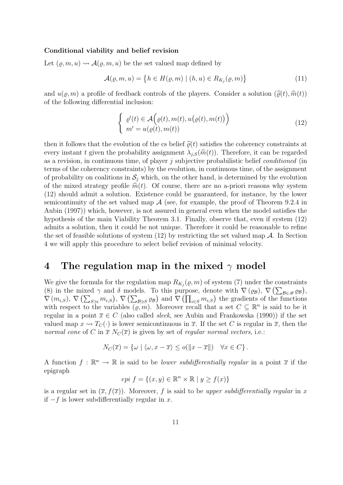#### Conditional viability and belief revision

Let  $(\varrho, m, u) \rightsquigarrow \mathcal{A}(\varrho, m, u)$  be the set valued map defined by

$$
\mathcal{A}(\varrho, m, u) = \{ h \in H(\varrho, m) \mid (h, u) \in R_{K_j}(\varrho, m) \}
$$
\n(11)

and  $u(\rho, m)$  a profile of feedback controls of the players. Consider a solution  $(\hat{\rho}(t), \hat{m}(t))$ of the following differential inclusion:

$$
\begin{cases}\n\varrho'(t) \in \mathcal{A}\Big(\varrho(t), m(t), u\big(\varrho(t), m(t)\big)\Big) \\
m' = u(\varrho(t), m(t))\n\end{cases} (12)
$$

then it follows that the evolution of the cs belief  $\hat{\rho}(t)$  satisfies the coherency constraints at every instant t given the probability assignment  $\lambda_{i,S}(\hat{m}(t))$ . Therefore, it can be regarded as a revision, in continuous time, of player  $j$  subjective probabilistic belief *conditioned* (in terms of the coherency constraints) by the evolution, in continuous time, of the assignment of probability on coalitions in  $S_i$  which, on the other hand, is determined by the evolution of the mixed strategy profile  $\hat{m}(t)$ . Of course, there are no a-priori reasons why system (12) should admit a solution. Existence could be guaranteed, for instance, by the lower semicontinuity of the set valued map  $\mathcal A$  (see, for example, the proof of Theorem 9.2.4 in Aubin (1997)) which, however, is not assured in general even when the model satisfies the hypothesis of the main Viability Theorem 3.1. Finally, observe that, even if system (12) admits a solution, then it could be not unique. Therefore it could be reasonable to refine the set of feasible solutions of system  $(12)$  by restricting the set valued map A. In Section 4 we will apply this procedure to select belief revision of minimal velocity.

### 4 The regulation map in the mixed  $\gamma$  model

We give the formula for the regulation map  $R_{K_j}(\varrho,m)$  of system (7) under the constraints (8) in the mixed  $\gamma$  and  $\delta$  models. To this purpose, denote with  $\nabla(\varrho_{\mathcal{B}}), \nabla(\sum_{\mathcal{B}\in\mathscr{B}}\varrho_{\mathcal{B}})$ ,  $\nabla(m_{i,S}), \nabla(\sum_{S\ni i}m_{i,S}), \nabla(\sum_{S\ni S}\varrho_S)$  and  $\nabla(\prod_{i\in S}m_{i,S})$  the gradients of the functions with respect to the variables  $(\varrho, m)$ . Moreover recall that a set  $C \subseteq \mathbb{R}^n$  is said to be it regular in a point  $\overline{x} \in C$  (also called *sleek*, see Aubin and Frankowska (1990)) if the set valued map  $x \rightsquigarrow T_C(\cdot)$  is lower semicontinuous in  $\overline{x}$ . If the set C is regular in  $\overline{x}$ , then the normal cone of C in  $\bar{x}$   $N_C(\bar{x})$  is given by set of regular normal vectors, i.e.:

$$
N_C(\overline{x}) = \{ \omega \mid \langle \omega, x - \overline{x} \rangle \le o(\|x - \overline{x}\|) \quad \forall x \in C \}.
$$

A function  $f : \mathbb{R}^n \to \mathbb{R}$  is said to be *lower subdifferentially regular* in a point  $\overline{x}$  if the epigraph

$$
epi f = \{(x, y) \in \mathbb{R}^n \times \mathbb{R} \mid y \ge f(x)\}\
$$

is a regular set in  $(\overline{x},f(\overline{x}))$ . Moreover, f is said to be upper subdifferentially regular in x if  $−f$  is lower subdifferentially regular in x.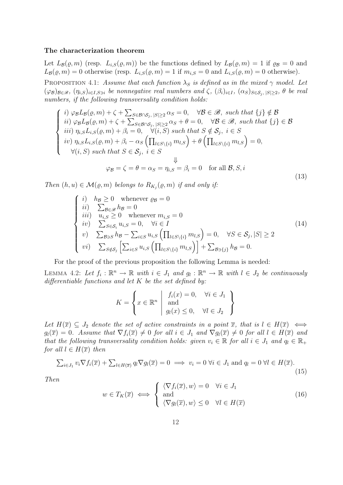#### The characterization theorem

Let  $L_{\mathcal{B}}(\varrho,m)$  (resp.  $L_{i,S}(\varrho,m)$ ) be the functions defined by  $L_{\mathcal{B}}(\varrho,m) = 1$  if  $\varrho_{\mathcal{B}} = 0$  and  $L_{\mathcal{B}}(\varrho,m) = 0$  otherwise (resp.  $L_{i,S}(\varrho,m) = 1$  if  $m_{i,S} = 0$  and  $L_{i,S}(\varrho,m) = 0$  otherwise).

PROPOSITION 4.1: Assume that each function  $\lambda_S$  is defined as in the mixed  $\gamma$  model. Let  $(\varphi_B)_{B \in \mathcal{B}}$ ,  $(\eta_{i,S})_{i \in I, S \ni i}$  be nonnegative real numbers and  $\zeta$ ,  $(\beta_i)_{i \in I}$ ,  $(\alpha_S)_{S \in \mathcal{S}_i, |S| \geq 2}$ ,  $\theta$  be real numbers, if the following transversality condition holds:

$$
\begin{cases}\ni) \varphi_B L_B(\varrho, m) + \zeta + \sum_{S \in \mathcal{B} \cap \mathcal{S}_j, |S| \ge 2} \alpha_S = 0, & \forall \mathcal{B} \in \mathcal{B}, \text{ such that } \{j\} \notin \mathcal{B} \\
ii) \varphi_B L_B(\varrho, m) + \zeta + \sum_{S \in \mathcal{B} \cap \mathcal{S}_j, |S| \ge 2} \alpha_S + \theta = 0, & \forall \mathcal{B} \in \mathcal{B}, \text{ such that } \{j\} \in \mathcal{B} \\
iii) \eta_{i, S} L_{i, S}(\varrho, m) + \beta_i = 0, & \forall (i, S) \text{ such that } S \notin \mathcal{S}_j, i \in S \\
iv) \eta_{i, S} L_{i, S}(\varrho, m) + \beta_i - \alpha_S \left( \prod_{l \in S \setminus \{i\}} m_{l, S} \right) + \theta \left( \prod_{l \in S \setminus \{i\}} m_{l, S} \right) = 0, \\
\forall (i, S) \text{ such that } S \in \mathcal{S}_j, i \in S \\
\psi_B = \zeta = \theta = \alpha_S = \eta_{i, S} = \beta_i = 0 \quad \text{for all } \mathcal{B}, S, i\n\end{cases}
$$

Then  $(h, u) \in \mathcal{M}(\varrho, m)$  belongs to  $R_{K_i}(\varrho, m)$  if and only if:

$$
\begin{cases}\ni, \quad h_B \ge 0 \quad \text{whenever } \varrho_B = 0 \\
ii) \quad \sum_{\mathcal{B} \in \mathcal{B}} h_B = 0 \\
iii) \quad u_{i,S} \ge 0 \quad \text{whenever } m_{i,S} = 0 \\
iv) \quad \sum_{S \in \mathcal{S}_i} u_{i,S} = 0, \quad \forall i \in I \\
v) \quad \sum_{\mathcal{B} \ni S} h_B - \sum_{i \in S} u_{i,S} \left( \prod_{l \in S \setminus \{i\}} m_{l,S} \right) = 0, \quad \forall S \in \mathcal{S}_j, |S| \ge 2 \\
vi) \quad \sum_{S \notin \mathcal{S}_j} \left[ \sum_{i \in S} u_{i,S} \left( \prod_{l \in S \setminus \{i\}} m_{l,S} \right) \right] + \sum_{\mathcal{B} \ni \{j\}} h_B = 0.\n\end{cases} \tag{14}
$$

(13)

For the proof of the previous proposition the following Lemma is needed:

LEMMA 4.2: Let  $f_i: \mathbb{R}^n \to \mathbb{R}$  with  $i \in J_1$  and  $g_l: \mathbb{R}^n \to \mathbb{R}$  with  $l \in J_2$  be continuously differentiable functions and let  $K$  be the set defined by:

$$
K = \left\{ x \in \mathbb{R}^n \mid \text{ and } \begin{cases} f_i(x) = 0, & \forall i \in J_1 \\ \text{ and } \\ g_l(x) \le 0, & \forall l \in J_2 \end{cases} \right\}
$$

Let  $H(\overline{x}) \subseteq J_2$  denote the set of active constraints in a point  $\overline{x}$ , that is  $l \in H(\overline{x}) \iff$  $g_l(\overline{x})=0$ . Assume that  $\nabla f_i(\overline{x})\neq 0$  for all  $i\in J_1$  and  $\nabla g_l(\overline{x})\neq 0$  for all  $l\in H(\overline{x})$  and that the following transversality condition holds: given  $v_i \in \mathbb{R}$  for all  $i \in J_1$  and  $q_i \in \mathbb{R}_+$ for all  $l \in H(\overline{x})$  then

$$
\sum_{i \in J_1} v_i \nabla f_i(\overline{x}) + \sum_{l \in H(\overline{x})} q_l \nabla g_l(\overline{x}) = 0 \implies v_i = 0 \,\forall i \in J_1 \text{ and } q_l = 0 \,\forall l \in H(\overline{x}).
$$
\n(15)

Then

$$
w \in T_K(\overline{x}) \iff \begin{cases} \langle \nabla f_i(\overline{x}), w \rangle = 0 & \forall i \in J_1 \\ \text{and} \\ \langle \nabla g_i(\overline{x}), w \rangle \le 0 & \forall l \in H(\overline{x}) \end{cases}
$$
(16)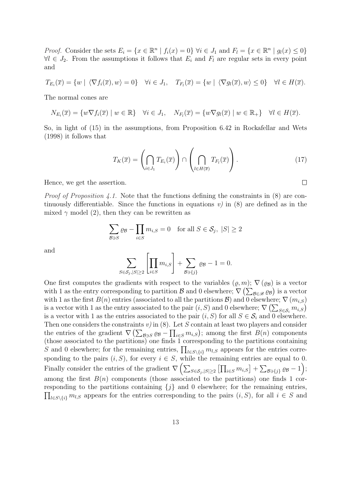*Proof.* Consider the sets  $E_i = \{x \in \mathbb{R}^n \mid f_i(x) = 0\} \forall i \in J_1$  and  $F_i = \{x \in \mathbb{R}^n \mid g_i(x) \leq 0\}$  $\forall l \in J_2$ . From the assumptions it follows that  $E_i$  and  $F_l$  are regular sets in every point and

$$
T_{E_i}(\overline{x}) = \{ w \mid \langle \nabla f_i(\overline{x}), w \rangle = 0 \} \quad \forall i \in J_1, \quad T_{F_i}(\overline{x}) = \{ w \mid \langle \nabla g_i(\overline{x}), w \rangle \le 0 \} \quad \forall l \in H(\overline{x}).
$$

The normal cones are

$$
N_{E_i}(\overline{x}) = \{ w \nabla f_i(\overline{x}) \mid w \in \mathbb{R} \} \quad \forall i \in J_1, \quad N_{F_i}(\overline{x}) = \{ w \nabla g_i(\overline{x}) \mid w \in \mathbb{R}_+ \} \quad \forall l \in H(\overline{x}).
$$

So, in light of (15) in the assumptions, from Proposition 6.42 in Rockafellar and Wets (1998) it follows that

$$
T_K(\overline{x}) = \left(\bigcap_{i \in J_1} T_{E_i}(\overline{x})\right) \cap \left(\bigcap_{l \in H(\overline{x})} T_{F_l}(\overline{x})\right). \tag{17}
$$

Hence, we get the assertion.

Proof of Proposition 4.1. Note that the functions defining the constraints in (8) are continuously differentiable. Since the functions in equations v) in (8) are defined as in the mixed  $\gamma$  model (2), then they can be rewritten as

$$
\sum_{\mathcal{B}\ni S} \varrho_{\mathcal{B}} - \prod_{i\in S} m_{i,S} = 0 \quad \text{for all } S \in \mathcal{S}_j, \ |S| \ge 2
$$

and

$$
\sum_{S \in \mathcal{S}_j, |S| \ge 2} \left[ \prod_{i \in S} m_{i,S} \right] + \sum_{\mathcal{B} \ni \{j\}} \varrho_{\mathcal{B}} - 1 = 0.
$$

One first computes the gradients with respect to the variables  $(\varrho, m)$ ;  $\nabla$   $(\varrho_B)$  is a vector with 1 as the entry corresponding to partition  $\mathcal{B}$  and 0 elsewhere;  $\nabla$   $(\sum_{\mathcal{B}\in\mathscr{B}}\varrho_{\mathcal{B}})$  is a vector with 1 as the first  $B(n)$  entries (associated to all the partitions  $\mathcal{B}$ ) and 0 elsewhere;  $\nabla$  ( $m_{i,S}$ ) is a vector with 1 as the entry associated to the pair  $(i, S)$  and 0 elsewhere;  $\nabla (\sum_{S \in S_i} m_{i, S})$ is a vector with 1 as the entries associated to the pair  $(i, S)$  for all  $S \in \mathcal{S}_i$  and 0 elsewhere. Then one considers the constraints  $v$  in (8). Let S contain at least two players and consider the entries of the gradient  $\nabla \left( \sum_{\mathcal{B} \ni S} \varrho_{\mathcal{B}} - \prod_{i \in S} m_{i,S} \right)$ ; among the first  $B(n)$  components (those associated to the partitions) one finds 1 corresponding to the partitions containing S and 0 elsewhere; for the remaining entries,  $\prod_{l \in S \setminus \{i\}} m_{l,S}$  appears for the entries corresponding to the pairs  $(i, S)$ , for every  $i \in S$ , while the remaining entries are equal to 0. Finally consider the entries of the gradient  $\nabla \left( \sum_{S \in \mathcal{S}_j, |S| \geq 2} \left[ \prod_{i \in S} m_{i,S} \right] + \sum_{\mathcal{B} \ni \{j\}} \varrho_{\mathcal{B}} - 1 \right);$ among the first  $B(n)$  components (those associated to the partitions) one finds 1 cor- $\prod_{l \in S \setminus \{i\}} m_{l,S}$  appears for the entries corresponding to the pairs  $(i, S)$ , for all  $i \in S$  and responding to the partitions containing  $\{j\}$  and 0 elsewhere; for the remaining entries,

 $\Box$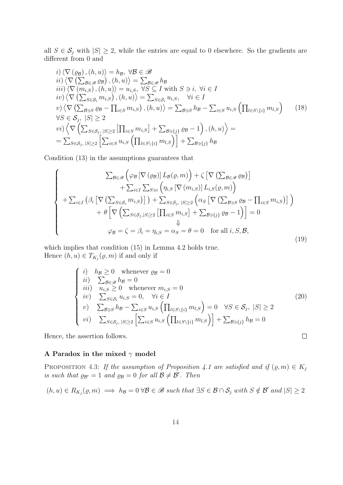all  $S \in \mathcal{S}_j$  with  $|S| \geq 2$ , while the entries are equal to 0 elsewhere. So the gradients are different from 0 and

$$
i) \langle \nabla (\varrho_B), (h, u) \rangle = h, \ \forall \mathcal{B} \in \mathcal{B}
$$
  
\n
$$
ii) \langle \nabla (\sum_{\mathcal{B} \in \mathcal{B}} \varrho_B), (h, u) \rangle = \sum_{\mathcal{B} \in \mathcal{B}} h, \forall \mathcal{B} \in \mathcal{B}
$$
  
\n
$$
iii) \langle \nabla (m_{i, S}), (h, u) \rangle = u_{i, S}, \ \forall S \subseteq I \text{ with } S \ni, \forall i \in I
$$
  
\n
$$
iv) \langle \nabla (\sum_{S \in S_i} m_{i, S}), (h, u) \rangle = \sum_{S \in S_i} u_{i, S}, \quad \forall i \in I
$$
  
\n
$$
v) \langle \nabla (\sum_{\mathcal{B} \ni S} \varrho_B - \prod_{i \in S} m_{i, S}), (h, u) \rangle = \sum_{\mathcal{B} \ni S} h, \sum_{S \in S} u_{i, S} (\prod_{l \in S \setminus \{i\}} m_{l, S})
$$
  
\n
$$
\forall S \in \mathcal{S}_j, |S| \ge 2
$$
  
\n
$$
vi) \langle \nabla (\sum_{S \in \mathcal{S}_j, |S| \ge 2} [\prod_{i \in S} m_{i, S}] + \sum_{\mathcal{B} \ni \{j\}} \varrho_B - 1), (h, u) \rangle =
$$
  
\n
$$
= \sum_{S \in \mathcal{S}_j, |S| \ge 2} [\sum_{i \in S} u_{i, S} (\prod_{l \in S \setminus \{i\}} m_{l, S})] + \sum_{\mathcal{B} \ni \{j\}} h, \forall \mathcal{B}
$$

Condition (13) in the assumptions guarantees that

$$
\begin{cases}\n\sum_{\mathcal{B}\in\mathscr{B}}\left(\varphi_{\mathcal{B}}\left[\nabla\left(\varrho_{\mathcal{B}}\right)\right]L_{\mathcal{B}}(\varrho,m)\right)+\zeta\left[\nabla\left(\sum_{\mathcal{B}\in\mathscr{B}}\varrho_{\mathcal{B}}\right)\right] \\
+\sum_{i\in I}\sum_{S\ni i}\left(\eta_{i,S}\left[\nabla\left(m_{i,S}\right)\right]L_{i,S}(\varrho,m)\right) \\
+\sum_{i\in I}\left(\beta_{i}\left[\nabla\left(\sum_{S\in\mathcal{S}_{i}}m_{i,S}\right)\right]\right)+\sum_{S\in\mathcal{S}_{j},|S|\geq2}\left(\alpha_{S}\left[\nabla\left(\sum_{\mathcal{B}\ni S}\varrho_{\mathcal{B}}-\prod_{i\in S}m_{i,S}\right)\right]\right) \\
+\theta\left[\nabla\left(\sum_{S\in\mathcal{S}_{j},|S|\geq2}\left[\prod_{i\in S}m_{i,S}\right]+\sum_{\mathcal{B}\ni\{j\}}\varrho_{\mathcal{B}}-1\right)\right]=0 \\
\psi \\
\varphi_{\mathcal{B}}=\zeta=\beta_{i}=\eta_{i,S}=\alpha_{S}=\theta=0 \quad \text{for all } i, S, \mathcal{B},\n\end{cases}
$$
\n(19)

which implies that condition (15) in Lemma 4.2 holds true. Hence  $(h, u) \in T_{K_j}(\varrho, m)$  if and only if

$$
\begin{cases}\ni, \quad h_B \ge 0 \quad \text{whenever } \varrho_B = 0 \\
ii, \quad \sum_{\mathcal{B} \in \mathcal{B}} h_B = 0 \\
iii, \quad u_{i,S} \ge 0 \quad \text{whenever } m_{i,S} = 0 \\
iv, \quad \sum_{S \in \mathcal{S}_i} u_{i,S} = 0, \quad \forall i \in I \\
v, \quad \sum_{\mathcal{B} \ni S} h_B - \sum_{i \in S} u_{i,S} \left( \prod_{l \in S \setminus \{i\}} m_{l,S} \right) = 0 \quad \forall S \in \mathcal{S}_j, |S| \ge 2 \\
vi, \quad \sum_{S \in \mathcal{S}_j, |S| \ge 2} \left[ \sum_{i \in S} u_{i,S} \left( \prod_{l \in S \setminus \{i\}} m_{l,S} \right) \right] + \sum_{\mathcal{B} \ni \{j\}} h_B = 0\n\end{cases}
$$
\n(20)

 $\Box$ 

Hence, the assertion follows.

#### A Paradox in the mixed  $\gamma$  model

PROPOSITION 4.3: If the assumption of Proposition 4.1 are satisfied and if  $(\varrho,m) \in K_j$ is such that  $\varrho_{\mathcal{B}'} = 1$  and  $\varrho_{\mathcal{B}} = 0$  for all  $\mathcal{B} \neq \mathcal{B}'$ . Then

$$
(h, u) \in R_{K_j}(\varrho, m) \implies h_{\mathcal{B}} = 0 \ \forall \mathcal{B} \in \mathcal{B} \ such \ that \ \exists S \in \mathcal{B} \cap \mathcal{S}_j \ with \ S \notin \mathcal{B}' \ and \ |S| \geq 2
$$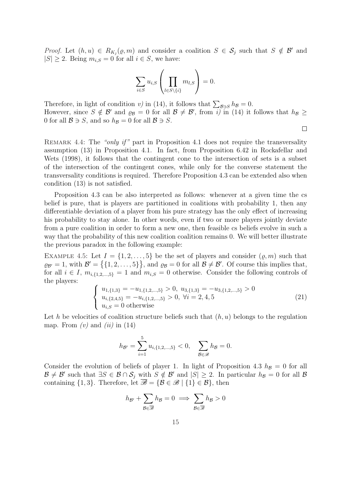*Proof.* Let  $(h, u) \in R_{K_j}(\varrho, m)$  and consider a coalition  $S \in \mathcal{S}_j$  such that  $S \notin \mathcal{B}'$  and  $|S| \geq 2$ . Being  $m_{i,S} = 0$  for all  $i \in S$ , we have:

$$
\sum_{i \in S} u_{i,S} \left( \prod_{l \in S \setminus \{i\}} m_{l,S} \right) = 0.
$$

Therefore, in light of condition v) in (14), it follows that  $\sum_{\mathcal{B}\ni S}h_{\mathcal{B}}=0$ . However, since  $S \notin \mathcal{B}'$  and  $\varrho_{\mathcal{B}} = 0$  for all  $\mathcal{B} \neq \mathcal{B}'$ , from i) in (14) it follows that  $h_{\mathcal{B}} \geq$ 0 for all  $\mathcal{B} \ni S$ , and so  $h_{\mathcal{B}} = 0$  for all  $\mathcal{B} \ni S$ .

 $\Box$ 

REMARK 4.4: The "only if" part in Proposition 4.1 does not require the transversality assumption (13) in Proposition 4.1. In fact, from Proposition 6.42 in Rockafellar and Wets (1998), it follows that the contingent cone to the intersection of sets is a subset of the intersection of the contingent cones, while only for the converse statement the transversality conditions is required. Therefore Proposition 4.3 can be extended also when condition (13) is not satisfied.

Proposition 4.3 can be also interpreted as follows: whenever at a given time the cs belief is pure, that is players are partitioned in coalitions with probability 1, then any differentiable deviation of a player from his pure strategy has the only effect of increasing his probability to stay alone. In other words, even if two or more players jointly deviate from a pure coalition in order to form a new one, then feasible cs beliefs evolve in such a way that the probability of this new coalition coalition remains 0. We will better illustrate the previous paradox in the following example:

EXAMPLE 4.5: Let  $I = \{1, 2, \ldots, 5\}$  be the set of players and consider  $(\rho, m)$  such that  $\varrho_{\mathcal{B}'} = 1$ , with  $\mathcal{B}' = \{ \{1, 2, ..., 5\} \}$ , and  $\varrho_{\mathcal{B}} = 0$  for all  $\mathcal{B} \neq \mathcal{B}'$ . Of course this implies that, for all  $i \in I$ ,  $m_{i,\{1,2,\dots,5\}} = 1$  and  $m_{i,S} = 0$  otherwise. Consider the following controls of the players:

$$
\begin{cases}\nu_{1,\{1,3\}} = -u_{1,\{1,2,\ldots,5\}} > 0, \ u_{3,\{1,3\}} = -u_{3,\{1,2,\ldots,5\}} > 0 \\
u_{i,\{2,4,5\}} = -u_{i,\{1,2,\ldots,5\}} > 0, \ \forall i = 2,4,5 \\
u_{i,S} = 0 \text{ otherwise}\n\end{cases}
$$
\n(21)

Let h be velocities of coalition structure beliefs such that  $(h, u)$  belongs to the regulation map. From  $(v)$  and  $(ii)$  in  $(14)$ 

$$
h_{\mathcal{B}'} = \sum_{i=1}^{5} u_{i,\{1,2,\dots,5\}} < 0, \quad \sum_{\mathcal{B} \in \mathcal{B}} h_{\mathcal{B}} = 0.
$$

Consider the evolution of beliefs of player 1. In light of Proposition 4.3  $h_B = 0$  for all  $\mathcal{B} \neq \mathcal{B}'$  such that  $\exists S \in \mathcal{B} \cap \mathcal{S}_j$  with  $S \notin \mathcal{B}'$  and  $|S| \geq 2$ . In particular  $h_{\mathcal{B}} = 0$  for all  $\mathcal{B}'$ containing  $\{1,3\}$ . Therefore, let  $\overline{\mathscr{B}} = {\mathcal{B} \in \mathscr{B} \mid \{1\} \in \mathcal{B}\}\,$ , then

$$
h_{\mathcal{B}'} + \sum_{\mathcal{B}\in\overline{\mathcal{B}}} h_{\mathcal{B}} = 0 \implies \sum_{\mathcal{B}\in\overline{\mathcal{B}}} h_{\mathcal{B}} > 0
$$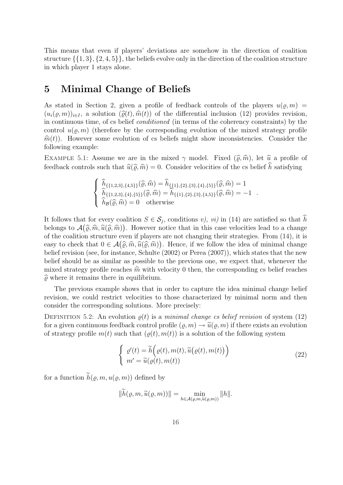This means that even if players' deviations are somehow in the direction of coalition structure  $\{\{1,3\},\{2,4,5\}\}\$ , the beliefs evolve only in the direction of the coalition structure in which player 1 stays alone.

# 5 Minimal Change of Beliefs

As stated in Section 2, given a profile of feedback controls of the players  $u(\rho, m)$  =  $(u_i(\varrho,m))_{i\in I}$ , a solution  $(\widehat{\varrho}(t), \widehat{m}(t))$  of the differential inclusion (12) provides revision, in continuous time, of cs belief conditioned (in terms of the coherency constraints) by the control  $u(\rho,m)$  (therefore by the corresponding evolution of the mixed strategy profile  $\hat{m}(t)$ . However some evolution of cs beliefs might show inconsistencies. Consider the following example:

EXAMPLE 5.1: Assume we are in the mixed  $\gamma$  model. Fixed  $(\widehat{\varrho}, \widehat{m})$ , let  $\widehat{u}$  a profile of feedback controls such that  $\hat{u}(\hat{\rho}, \hat{m}) = 0$ . Consider velocities of the cs belief  $\hat{h}$  satisfying

$$
\begin{cases} \n\hat{h}_{\{\{1,2,3\},\{4,5\}\}}(\hat{\varrho}, \hat{m}) = \hat{h}_{\{\{1\},\{2\},\{3\},\{4\},\{5\}\}}(\hat{\varrho}, \hat{m}) = 1 \\
\hat{h}_{\{\{1,2,3\},\{4\},\{5\}\}}(\hat{\varrho}, \hat{m}) = h_{\{\{1\},\{2\},\{3\},\{4,5\}\}}(\hat{\varrho}, \hat{m}) = -1 \\
\hat{h}_{\mathcal{B}}(\hat{\varrho}, \hat{m}) = 0 \n\end{cases}
$$
 otherwise

It follows that for every coalition  $S \in \mathcal{S}_j$ , conditions v), vi) in (14) are satisfied so that h belongs to  $\mathcal{A}(\hat{\varrho}, \hat{m}, \hat{u}(\hat{\varrho}, \hat{m}))$ . However notice that in this case velocities lead to a change of the coalition structure even if players are not changing their strategies. From (14), it is easy to check that  $0 \in \mathcal{A}(\hat{\rho}, \hat{m}, \hat{u}(\hat{\rho}, \hat{m}))$ . Hence, if we follow the idea of minimal change belief revision (see, for instance, Schulte (2002) or Perea (2007)), which states that the new belief should be as similar as possible to the previous one, we expect that, whenever the mixed strategy profile reaches  $\hat{m}$  with velocity 0 then, the corresponding cs belief reaches  $\widehat{\rho}$  where it remains there in equilibrium.

The previous example shows that in order to capture the idea minimal change belief revision, we could restrict velocities to those characterized by minimal norm and then consider the corresponding solutions. More precisely:

DEFINITION 5.2: An evolution  $\rho(t)$  is a minimal change cs belief revision of system (12) for a given continuous feedback control profile  $(\varrho,m) \to \tilde{u}(\varrho,m)$  if there exists an evolution of strategy profile  $m(t)$  such that  $(\rho(t),m(t))$  is a solution of the following system

$$
\begin{cases}\n\varrho'(t) = \widetilde{h}\Big(\varrho(t), m(t), \widetilde{u}\big(\varrho(t), m(t)\big)\Big) \\
m' = \widetilde{u}(\varrho(t), m(t))\n\end{cases} \tag{22}
$$

.

for a function  $\widetilde{h}(\rho,m, u(\rho,m))$  defined by

$$
\|\widetilde{h}(\varrho,m,\widetilde{u}(\varrho,m))\| = \min_{h \in \mathcal{A}(\varrho,m,\widetilde{u}(\varrho,m))} \|h\|.
$$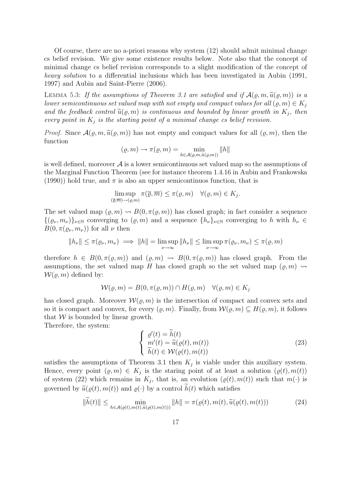Of course, there are no a-priori reasons why system (12) should admit minimal change cs belief revision. We give some existence results below. Note also that the concept of minimal change cs belief revision corresponds to a slight modification of the concept of heavy solution to a differential inclusions which has been investigated in Aubin (1991, 1997) and Aubin and Saint-Pierre (2006).

LEMMA 5.3: If the assumptions of Theorem 3.1 are satisfied and if  $\mathcal{A}(\varrho,m,\widetilde{u}(\varrho,m))$  is a lower semicontinuous set valued map with not empty and compact values for all  $(\rho,m) \in K_i$ and the feedback control  $\widetilde{u}(\varrho,m)$  is continuous and bounded by linear growth in  $K_j$ , then every point in  $K_j$  is the starting point of a minimal change cs belief revision.

*Proof.* Since  $\mathcal{A}(\varrho,m,\widetilde{u}(\varrho,m))$  has not empty and compact values for all  $(\varrho,m)$ , then the function

$$
(\varrho, m) \to \pi(\varrho, m) = \min_{h \in \mathcal{A}(\varrho, m, \tilde{u}(\varrho, m))} ||h||
$$

is well defined, moreover  $\mathcal A$  is a lower semicontinuous set valued map so the assumptions of the Marginal Function Theorem (see for instance theorem 1.4.16 in Aubin and Frankowska (1990)) hold true, and  $\pi$  is also an upper semicontinuos function, that is

$$
\limsup_{(\overline{\varrho},\overline{m}) \to (\varrho,m)} \pi(\overline{\varrho},\overline{m}) \le \pi(\varrho,m) \quad \forall (\varrho,m) \in K_j.
$$

The set valued map  $(\varrho, m) \rightsquigarrow B(0, \pi(\varrho, m))$  has closed graph; in fact consider a sequence  $\{(\varrho_\nu,m_\nu)\}_{\nu\in\mathbb{N}}$  converging to  $(\varrho,m)$  and a sequence  $\{h_\nu\}_{\nu\in\mathbb{N}}$  converging to h with  $h_\nu \in$  $B(0, \pi(\varrho_\nu, m_\nu))$  for all  $\nu$  then

$$
||h_{\nu}|| \leq \pi(\varrho_{\nu}, m_{\nu}) \implies ||h|| = \limsup_{\nu \to \infty} ||h_{\nu}|| \leq \limsup_{\nu \to \infty} \pi(\varrho_{\nu}, m_{\nu}) \leq \pi(\varrho, m)
$$

therefore  $h \in B(0, \pi(\rho, m))$  and  $(\rho, m) \rightsquigarrow B(0, \pi(\rho, m))$  has closed graph. From the assumptions, the set valued map H has closed graph so the set valued map  $(\varrho, m) \rightsquigarrow$  $W(\rho,m)$  defined by:

$$
W(\varrho,m) = B(0, \pi(\varrho,m)) \cap H(\varrho,m) \quad \forall (\varrho,m) \in K_j
$$

has closed graph. Moreover  $\mathcal{W}(\rho,m)$  is the intersection of compact and convex sets and so it is compact and convex, for every  $(\rho, m)$ . Finally, from  $\mathcal{W}(\rho,m) \subseteq H(\rho,m)$ , it follows that  $W$  is bounded by linear growth.

Therefore, the system:

$$
\begin{cases}\n\varrho'(t) = \widetilde{h}(t) \\
m'(t) = \widetilde{u}(\varrho(t), m(t)) \\
\widetilde{h}(t) \in \mathcal{W}(\varrho(t), m(t))\n\end{cases} \tag{23}
$$

satisfies the assumptions of Theorem 3.1 then  $K_j$  is viable under this auxiliary system. Hence, every point  $(\varrho,m) \in K_j$  is the staring point of at least a solution  $(\varrho(t),m(t))$ of system (22) which remains in  $K_j$ , that is, an evolution  $(\varrho(t),m(t))$  such that  $m(\cdot)$  is governed by  $\tilde{u}(\rho(t),m(t))$  and  $\rho(\cdot)$  by a control  $\tilde{h}(t)$  which satisfies

$$
\|\widetilde{h}(t)\| \le \min_{h \in \mathcal{A}(\varrho(t), m(t), \widetilde{u}(\varrho(t), m(t)))} \|h\| = \pi(\varrho(t), m(t), \widetilde{u}(\varrho(t), m(t))) \tag{24}
$$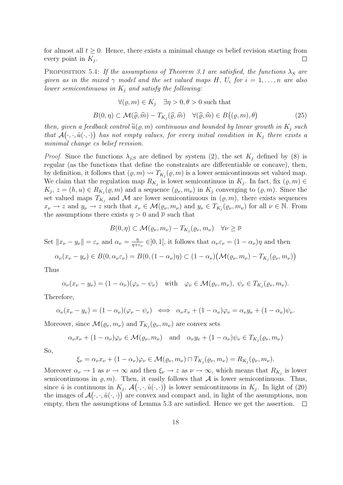for almost all  $t \geq 0$ . Hence, there exists a minimal change cs belief revision starting from every point in  $K_j$ . П

PROPOSITION 5.4: If the assumptions of Theorem 3.1 are satisfied, the functions  $\lambda_S$  are given as in the mixed  $\gamma$  model and the set valued maps H,  $U_i$  for  $i = 1, \ldots, n$  are also lower semicontinuous in  $K_i$  and satisfy the following:

$$
\forall (\varrho, m) \in K_j \quad \exists \eta > 0, \theta > 0 \text{ such that}
$$

$$
B(0, \eta) \subset \mathcal{M}(\widehat{\varrho}, \widehat{m}) - T_{K_j}(\widehat{\varrho}, \widehat{m}) \quad \forall (\widehat{\varrho}, \widehat{m}) \in B((\varrho, m), \theta)
$$
(25)

then, given a feedback control  $\widetilde{u}(\varrho,m)$  continuous and bounded by linear growth in  $K_j$  such that  $A(\cdot, \cdot, \tilde{u}(\cdot, \cdot))$  has not empty values, for every initial condition in  $K_j$  there exists a minimal change cs belief revision.

*Proof.* Since the functions  $\lambda_{j,S}$  are defined by system (2), the set  $K_j$  defined by (8) is regular (as the functions that define the constraints are differentiable or concave), then, by definition, it follows that  $(\varrho,m) \rightsquigarrow T_{K_j}(\varrho,m)$  is a lower semicontinuous set valued map. We claim that the regulation map  $R_{K_j}$  is lower semicontinuos in  $K_j$ . In fact, fix  $(\varrho, m) \in$  $K_j$ ,  $z = (h, u) \in R_{K_j}(\varrho, m)$  and a sequence  $(\varrho_\nu, m_\nu)$  in  $K_j$  converging to  $(\varrho, m)$ . Since the set valued maps  $T_{K_j}$  and M are lower semicontinuous in  $(\varrho,m)$ , there exists sequences  $x_{\nu} \to z$  and  $y_{\nu} \to z$  such that  $x_{\nu} \in \mathcal{M}(\varrho_{\nu}, m_{\nu})$  and  $y_{\nu} \in T_{K_j}(\varrho_{\nu}, m_{\nu})$  for all  $\nu \in \mathbb{N}$ . From the assumptions there exists  $\eta > 0$  and  $\overline{\nu}$  such that

$$
B(0, \eta) \subset \mathcal{M}(\varrho_{\nu}, m_{\nu}) - T_{K_j}(\varrho_{\nu}, m_{\nu}) \quad \forall \nu \ge \overline{\nu}
$$

Set  $||x_{\nu} - y_{\nu}|| = \varepsilon_{\nu}$  and  $\alpha_{\nu} = \frac{\eta}{n+1}$  $\frac{\eta}{\eta+\varepsilon_{\nu}}\in]0,1[$ , it follows that  $\alpha_{\nu}\varepsilon_{\nu}=(1-\alpha_{\nu})\eta$  and then

$$
\alpha_{\nu}(x_{\nu}-y_{\nu}) \in B(0, \alpha_{\nu} \varepsilon_{\nu}) = B(0, (1-\alpha_{\nu})\eta) \subset (1-\alpha_{\nu})\big(\mathcal{M}(\varrho_{\nu}, m_{\nu}) - T_{K_j}(\varrho_{\nu}, m_{\nu})\big)
$$

Thus

$$
\alpha_{\nu}(x_{\nu}-y_{\nu})=(1-\alpha_{\nu})(\varphi_{\nu}-\psi_{\nu})\quad\text{with}\quad\varphi_{\nu}\in\mathcal{M}(\varrho_{\nu},m_{\nu}),\ \psi_{\nu}\in T_{K_j}(\varrho_{\nu},m_{\nu}).
$$

Therefore,

$$
\alpha_{\nu}(x_{\nu}-y_{\nu})=(1-\alpha_{\nu})(\varphi_{\nu}-\psi_{\nu}) \iff \alpha_{\nu}x_{\nu}+(1-\alpha_{\nu})\varphi_{\nu}=\alpha_{\nu}y_{\nu}+(1-\alpha_{\nu})\psi_{\nu}.
$$

Moreover, since  $\mathcal{M}(\varrho_\nu, m_\nu)$  and  $T_{K_j}(\varrho_\nu, m_\nu)$  are convex sets

$$
\alpha_{\nu} x_{\nu} + (1 - \alpha_{\nu}) \varphi_{\nu} \in \mathcal{M}(\varrho_{\nu}, m_{\nu}) \quad \text{and} \quad \alpha_{\nu} y_{\nu} + (1 - \alpha_{\nu}) \psi_{\nu} \in T_{K_j}(\varrho_{\nu}, m_{\nu})
$$

So,

$$
\xi_{\nu} = \alpha_{\nu} x_{\nu} + (1 - \alpha_{\nu}) \varphi_{\nu} \in \mathcal{M}(\varrho_{\nu}, m_{\nu}) \cap T_{K_j}(\varrho_{\nu}, m_{\nu}) = R_{K_j}(\varrho_{\nu}, m_{\nu}).
$$

Moreover  $\alpha_{\nu} \to 1$  as  $\nu \to \infty$  and then  $\xi_{\nu} \to z$  as  $\nu \to \infty$ , which means that  $R_{K_j}$  is lower semicontinuous in  $\varrho, m$ ). Then, it easily follows that A is lower semicontinuous. Thus, since  $\tilde{u}$  is continuous in  $K_j$ ,  $\mathcal{A}(\cdot,\cdot,\tilde{u}(\cdot,\cdot))$  is lower semicontinuous in  $K_j$ . In light of (20) the images of  $\mathcal{A}(\cdot,\cdot,\tilde{u}(\cdot,\cdot))$  are convex and compact and, in light of the assumptions, non empty, then the assumptions of Lemma 5.3 are satisfied. Hence we get the assertion.  $\Box$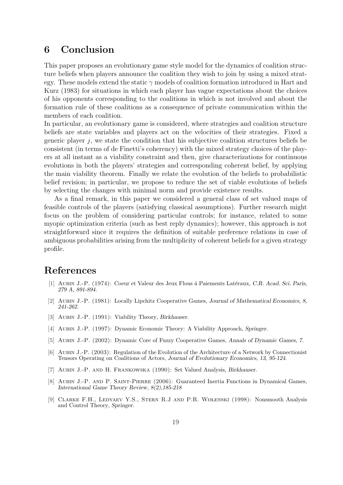# 6 Conclusion

This paper proposes an evolutionary game style model for the dynamics of coalition structure beliefs when players announce the coalition they wish to join by using a mixed strategy. These models extend the static  $\gamma$  models of coalition formation introduced in Hart and Kurz (1983) for situations in which each player has vague expectations about the choices of his opponents corresponding to the coalitions in which is not involved and about the formation rule of these coalitions as a consequence of private communication within the members of each coalition.

In particular, an evolutionary game is considered, where strategies and coalition structure beliefs are state variables and players act on the velocities of their strategies. Fixed a generic player j, we state the condition that his subjective coalition structures beliefs be consistent (in terms of de Finetti's coherency) with the mixed strategy choices of the players at all instant as a viability constraint and then, give characterizations for continuous evolutions in both the players' strategies and corresponding coherent belief, by applying the main viability theorem. Finally we relate the evolution of the beliefs to probabilistic belief revision; in particular, we propose to reduce the set of viable evolutions of beliefs by selecting the changes with minimal norm and provide existence results.

As a final remark, in this paper we considered a general class of set valued maps of feasible controls of the players (satisfying classical assumptions). Further research might focus on the problem of considering particular controls; for instance, related to some myopic optimization criteria (such as best reply dynamics); however, this approach is not straightforward since it requires the definition of suitable preference relations in case of ambiguous probabilities arising from the multiplicity of coherent beliefs for a given strategy profile.

# References

- [1] AUBIN J.-P. (1974): Coeur et Valeur des Jeux Flous à Paiements Latéraux, C.R. Acad. Sci. Paris, 279 A, 891-894.
- [2] Aubin J.-P. (1981): Locally Lipchitz Cooperative Games, Journal of Mathematical Economics, 8, 241-262.
- [3] AUBIN J.-P. (1991): Viability Theory, Birkhauser.
- [4] Aubin J.-P. (1997): Dynamic Economic Theory: A Viability Approach, Springer.
- [5] Aubin J.-P. (2002): Dynamic Core of Fuzzy Cooperative Games, Annals of Dynamic Games, 7.
- [6] Aubin J.-P. (2003): Regulation of the Evolution of the Architecture of a Network by Connectionist Tensors Operating on Coalitions of Actors, Journal of Evolutionary Economics, 13, 95-124.
- [7] Aubin J.-P. and H. Frankowska (1990): Set Valued Analysis, Birkhauser.
- [8] Aubin J.-P. and P. Saint-Pierre (2006): Guaranteed Inertia Functions in Dynamical Games, International Game Theory Review, 8(2),185-218
- [9] Clarke F.H., Ledyaev Y.S., Stern R.J and P.R. Wolenski (1998): Nonsmooth Analysis and Control Theory, Springer.